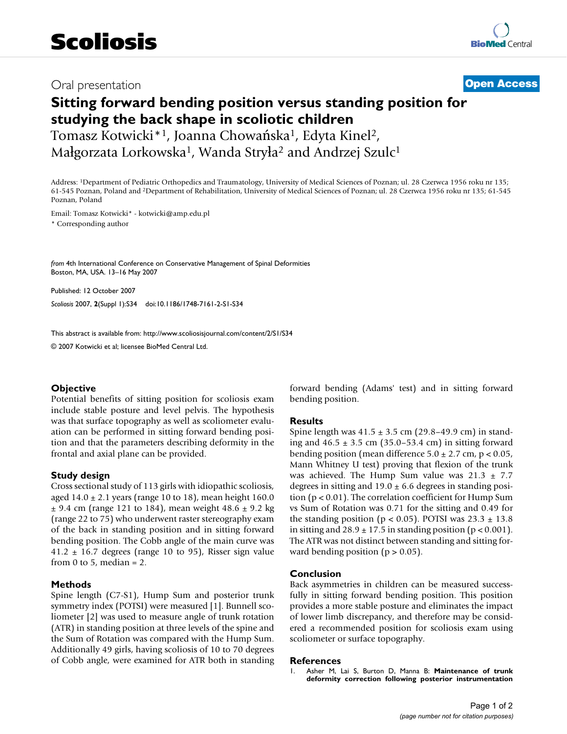## Oral presentation **[Open Access](http://www.biomedcentral.com/info/about/charter/)**

# **Sitting forward bending position versus standing position for studying the back shape in scoliotic children**

Tomasz Kotwicki\*1, Joanna Chowańska1, Edyta Kinel2, Małgorzata Lorkowska<sup>1</sup>, Wanda Stryła<sup>2</sup> and Andrzej Szulc<sup>1</sup>

Address: 1Department of Pediatric Orthopedics and Traumatology, University of Medical Sciences of Poznan; ul. 28 Czerwca 1956 roku nr 135; 61-545 Poznan, Poland and 2Department of Rehabilitation, University of Medical Sciences of Poznan; ul. 28 Czerwca 1956 roku nr 135; 61-545 Poznan, Poland

Email: Tomasz Kotwicki\* - kotwicki@amp.edu.pl

\* Corresponding author

*from* 4th International Conference on Conservative Management of Spinal Deformities Boston, MA, USA. 13–16 May 2007

Published: 12 October 2007 *Scoliosis* 2007, **2**(Suppl 1):S34 doi:10.1186/1748-7161-2-S1-S34

[This abstract is available from: http://www.scoliosisjournal.com/content/2/S1/S34](http://www.scoliosisjournal.com/content/2/S1/S34)

© 2007 Kotwicki et al; licensee BioMed Central Ltd.

### **Objective**

Potential benefits of sitting position for scoliosis exam include stable posture and level pelvis. The hypothesis was that surface topography as well as scoliometer evaluation can be performed in sitting forward bending position and that the parameters describing deformity in the frontal and axial plane can be provided.

### **Study design**

Cross sectional study of 113 girls with idiopathic scoliosis, aged  $14.0 \pm 2.1$  years (range 10 to 18), mean height 160.0  $\pm$  9.4 cm (range 121 to 184), mean weight 48.6  $\pm$  9.2 kg (range 22 to 75) who underwent raster stereography exam of the back in standing position and in sitting forward bending position. The Cobb angle of the main curve was 41.2  $\pm$  16.7 degrees (range 10 to 95), Risser sign value from 0 to 5, median  $= 2$ .

#### **Methods**

Spine length (C7-S1), Hump Sum and posterior trunk symmetry index (POTSI) were measured [1]. Bunnell scoliometer [2] was used to measure angle of trunk rotation (ATR) in standing position at three levels of the spine and the Sum of Rotation was compared with the Hump Sum. Additionally 49 girls, having scoliosis of 10 to 70 degrees of Cobb angle, were examined for ATR both in standing forward bending (Adams' test) and in sitting forward bending position.

#### **Results**

Spine length was  $41.5 \pm 3.5$  cm (29.8–49.9 cm) in standing and  $46.5 \pm 3.5$  cm (35.0–53.4 cm) in sitting forward bending position (mean difference  $5.0 \pm 2.7$  cm, p < 0.05, Mann Whitney U test) proving that flexion of the trunk was achieved. The Hump Sum value was  $21.3 \pm 7.7$ degrees in sitting and  $19.0 \pm 6.6$  degrees in standing position (p < 0.01). The correlation coefficient for Hump Sum vs Sum of Rotation was 0.71 for the sitting and 0.49 for the standing position ( $p < 0.05$ ). POTSI was  $23.3 \pm 13.8$ in sitting and  $28.9 \pm 17.5$  in standing position (p < 0.001). The ATR was not distinct between standing and sitting forward bending position ( $p > 0.05$ ).

#### **Conclusion**

Back asymmetries in children can be measured successfully in sitting forward bending position. This position provides a more stable posture and eliminates the impact of lower limb discrepancy, and therefore may be considered a recommended position for scoliosis exam using scoliometer or surface topography.

#### **References**

1. Asher M, Lai S, Burton D, Manna B: **[Maintenance of trunk](http://www.ncbi.nlm.nih.gov/entrez/query.fcgi?cmd=Retrieve&db=PubMed&dopt=Abstract&list_uids=15303022) [deformity correction following posterior instrumentation](http://www.ncbi.nlm.nih.gov/entrez/query.fcgi?cmd=Retrieve&db=PubMed&dopt=Abstract&list_uids=15303022)**